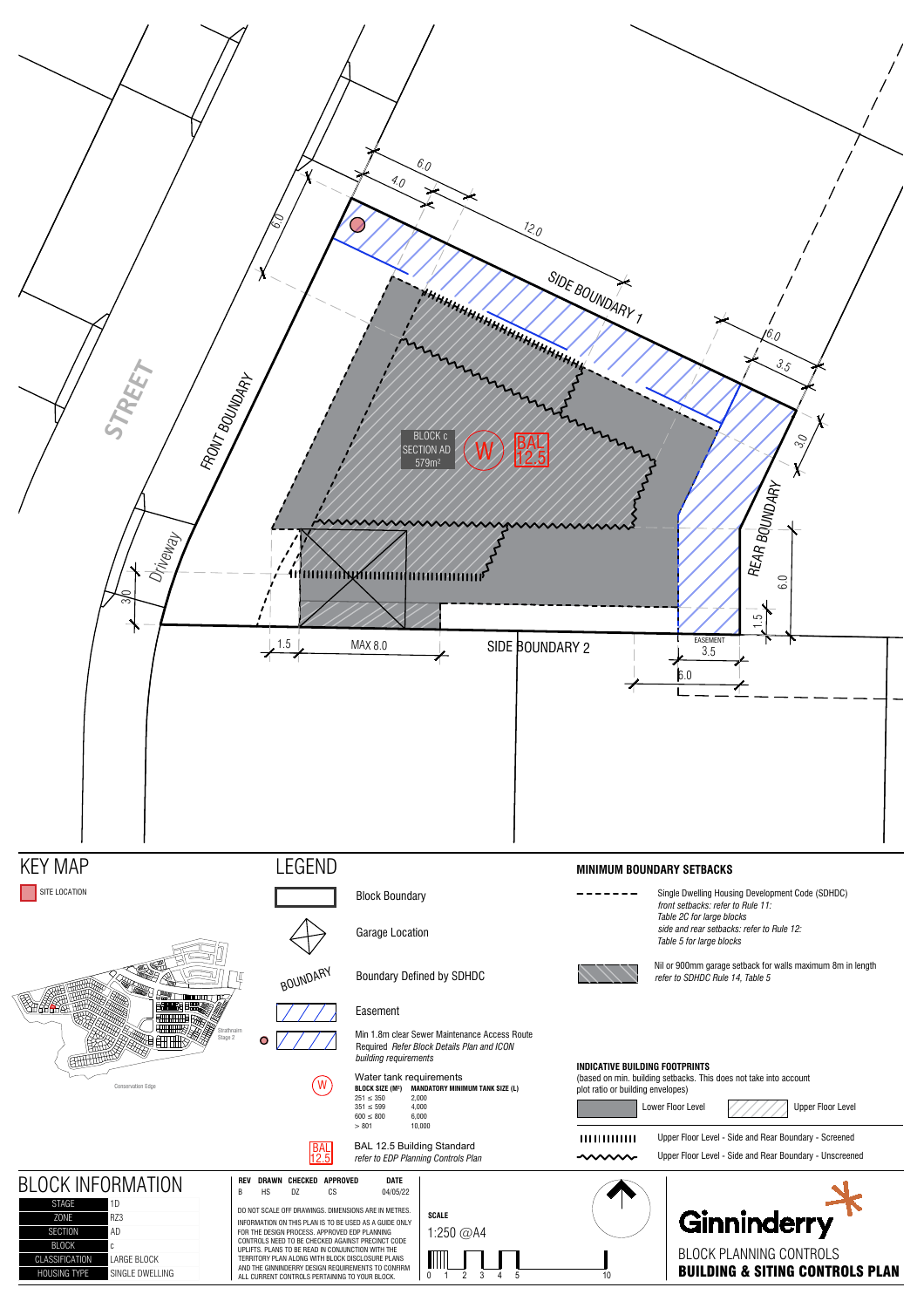